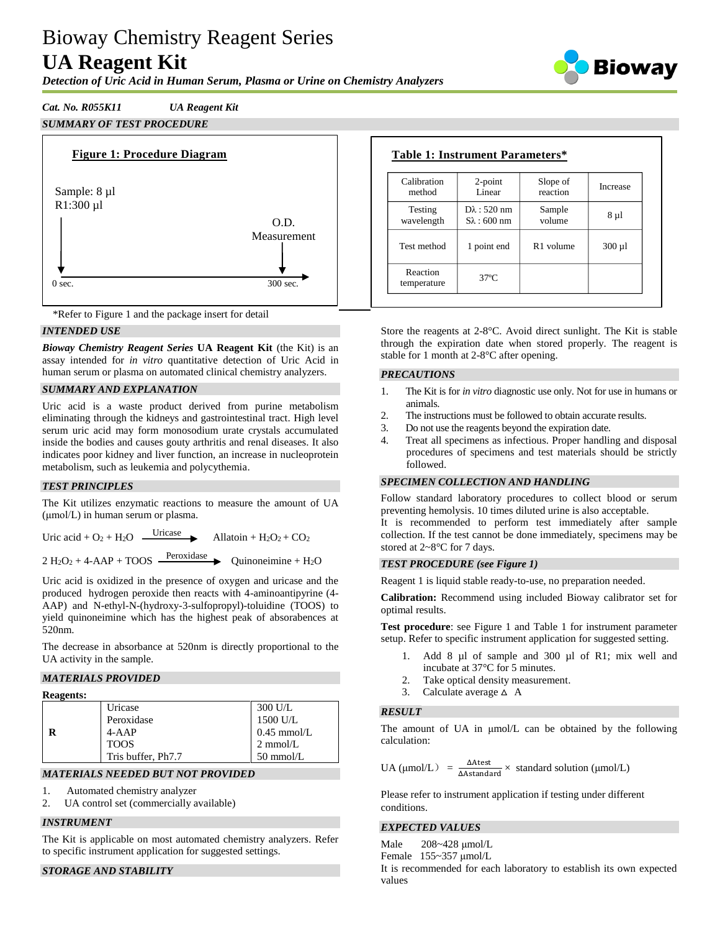# Bioway Chemistry Reagent Series **UA Reagent Kit**



*Detection of Uric Acid in Human Serum, Plasma or Urine on Chemistry Analyzers*

# *Cat. No. R055K11 UA Reagent Kit*

# *SUMMARY OF TEST PROCEDURE*





# *INTENDED USE*

*Bioway Chemistry Reagent Series* **UA Reagent Kit** (the Kit) is an assay intended for *in vitro* quantitative detection of Uric Acid in human serum or plasma on automated clinical chemistry analyzers.

# *SUMMARY AND EXPLANATION*

Uric acid is a waste product derived from purine metabolism eliminating through the kidneys and gastrointestinal tract. High level serum uric acid may form monosodium urate crystals accumulated inside the bodies and causes gouty arthritis and renal diseases. It also indicates poor kidney and liver function, an increase in nucleoprotein metabolism, such as leukemia and polycythemia.

# *TEST PRINCIPLES*

The Kit utilizes enzymatic reactions to measure the amount of UA (μmol/L) in human serum or plasma.

Uric acid +  $O_2$  + H<sub>2</sub>O  $\frac{\text{Uricase}}{\text{}$ Allatoin +  $H_2O_2$  +  $CO_2$ 

2 H<sub>2</sub>O<sub>2</sub> + 4-AAP + TOOS  $\frac{\text{Peroxidase}}{\text{Peroxidase}}$  Quinoneimine + H<sub>2</sub>O

Uric acid is oxidized in the presence of oxygen and uricase and the produced hydrogen peroxide then reacts with 4-aminoantipyrine (4- AAP) and N-ethyl-N-(hydroxy-3-sulfopropyl)-toluidine (TOOS) to yield quinoneimine which has the highest peak of absorabences at 520nm.

The decrease in absorbance at 520nm is directly proportional to the UA activity in the sample.

# *MATERIALS PROVIDED*

#### **Reagents:**

| Uricase            | 300 U/L             |
|--------------------|---------------------|
| Peroxidase         | 1500 U/L            |
| $4 - AAP$          | $0.45$ mmol/L       |
| <b>TOOS</b>        | $2 \text{ mmol/L}$  |
| Tris buffer, Ph7.7 | $50 \text{ mmol/L}$ |

#### *MATERIALS NEEDED BUT NOT PROVIDED*

- 1. Automated chemistry analyzer
- 2. UA control set (commercially available)

# *INSTRUMENT*

The Kit is applicable on most automated chemistry analyzers. Refer to specific instrument application for suggested settings.

# *STORAGE AND STABILITY*

| Table 1: Instrument Parameters* |  |
|---------------------------------|--|
|                                 |  |

| Calibration             | $2$ -point             | Slope of              | Increase    |
|-------------------------|------------------------|-----------------------|-------------|
| method                  | Linear                 | reaction              |             |
| Testing                 | $D\lambda$ : 520 nm    | Sample                | 8 µ l       |
| wavelength              | $S_{\lambda}$ : 600 nm | volume                |             |
| Test method             | 1 point end            | R <sub>1</sub> volume | $300 \mu l$ |
| Reaction<br>temperature | $37^{\circ}$ C         |                       |             |

Store the reagents at 2-8°C. Avoid direct sunlight. The Kit is stable through the expiration date when stored properly. The reagent is stable for 1 month at 2-8°C after opening.

#### *PRECAUTIONS*

- 1. The Kit is for *in vitro* diagnostic use only. Not for use in humans or animals.
- 2. The instructions must be followed to obtain accurate results.
- 3. Do not use the reagents beyond the expiration date.
- 4. Treat all specimens as infectious. Proper handling and disposal procedures of specimens and test materials should be strictly followed.

# *SPECIMEN COLLECTION AND HANDLING*

Follow standard laboratory procedures to collect blood or serum preventing hemolysis. 10 times diluted urine is also acceptable.

It is recommended to perform test immediately after sample collection. If the test cannot be done immediately, specimens may be stored at 2~8°C for 7 days.

#### *TEST PROCEDURE (see Figure 1)*

Reagent 1 is liquid stable ready-to-use, no preparation needed.

**Calibration:** Recommend using included Bioway calibrator set for optimal results.

**Test procedure**: see Figure 1 and Table 1 for instrument parameter setup. Refer to specific instrument application for suggested setting.

- Add 8 µl of sample and 300 µl of R1; mix well and incubate at 37°C for 5 minutes.
- 2. Take optical density measurement.
- 3. Calculate average  $\triangle$  A

#### *RESULT*

The amount of UA in μmol/L can be obtained by the following calculation:

UA ( $\mu$ mol/L) =  $\frac{\Delta$ Atest  $\lambda$  standard solution ( $\mu$ mol/L)

Please refer to instrument application if testing under different conditions.

#### *EXPECTED VALUES*

Male 208~428 μmol/L Female 155~357 μmol/L It is recommended for each laboratory to establish its own expected values